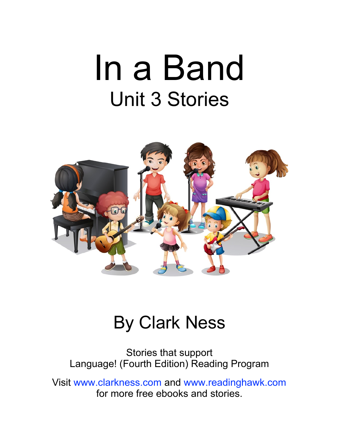## In a Band Unit 3 Stories



#### By Clark Ness

Stories that support Language! (Fourth Edition) Reading Program

Visit [www.clarkness.com](http://www.clarkness.com) and [www.readinghawk.com](http://www.readinghawk.com) for more free ebooks and stories.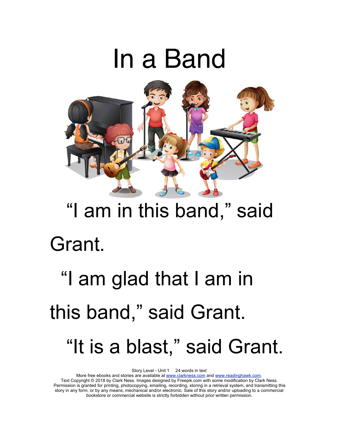### In a Band



### "I am in this band," said Grant.

## "I am glad that I am in this band," said Grant. "It is a blast," said Grant.

Story Level - Unit 1 24 words in text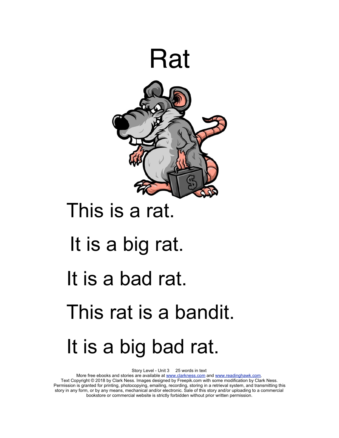

#### This is a rat.

### It is a big rat. It is a bad rat.

### This rat is a bandit.

### It is a big bad rat.

Story Level - Unit 3 25 words in text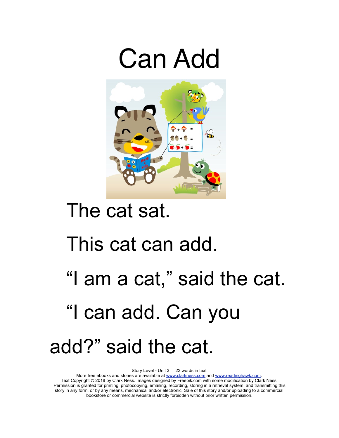



#### The cat sat.

#### This cat can add.

### "I am a cat," said the cat. "I can add. Can you add?" said the cat.

Story Level - Unit 3 23 words in text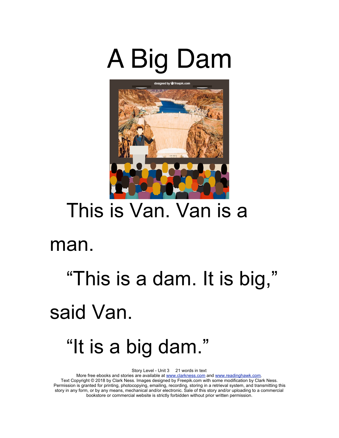



#### This is Van. Van is a

#### man.

## "This is a dam. It is big," said Van. "It is a big dam."

Story Level - Unit 3 21 words in text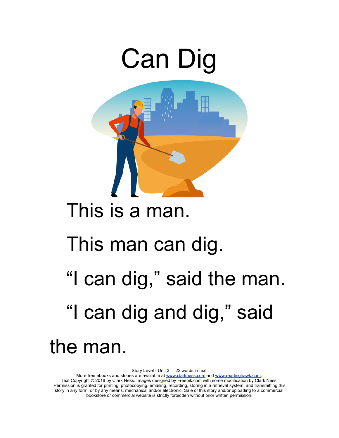

Story Level - Unit 3 22 words in text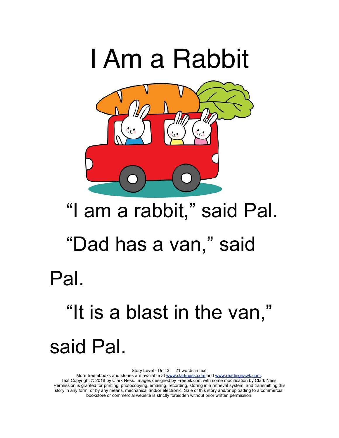

## "I am a rabbit," said Pal. "Dad has a van," said Pal. "It is a blast in the van," said Pal.

Story Level - Unit 3 21 words in text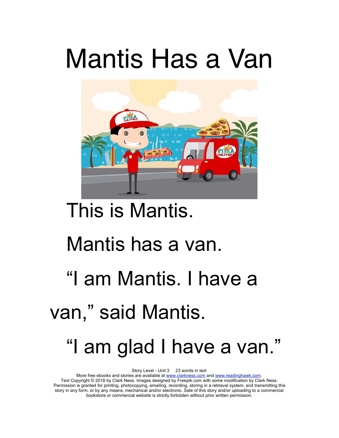## Mantis Has a Van



#### This is Mantis.

#### Mantis has a van.

### "I am Mantis. I have a

#### van," said Mantis.

#### "I am glad I have a van."

Story Level - Unit 3 23 words in text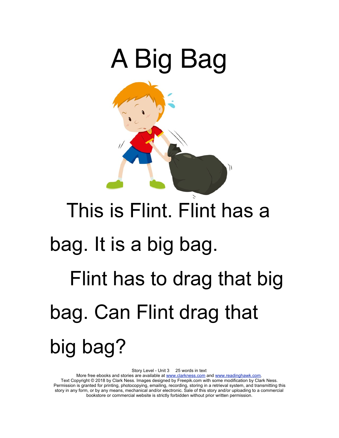

# This is Flint. Flint has a bag. It is a big bag. Flint has to drag that big bag. Can Flint drag that big bag?

Story Level - Unit 3 25 words in text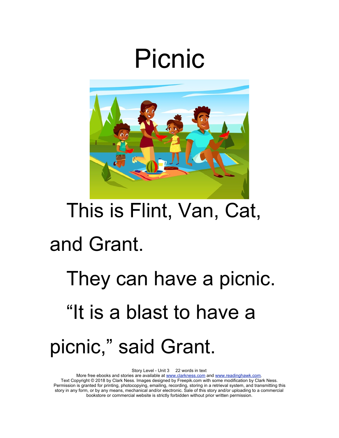### Picnic



### This is Flint, Van, Cat, and Grant.

## They can have a picnic. "It is a blast to have a picnic," said Grant.

Story Level - Unit 3 22 words in text